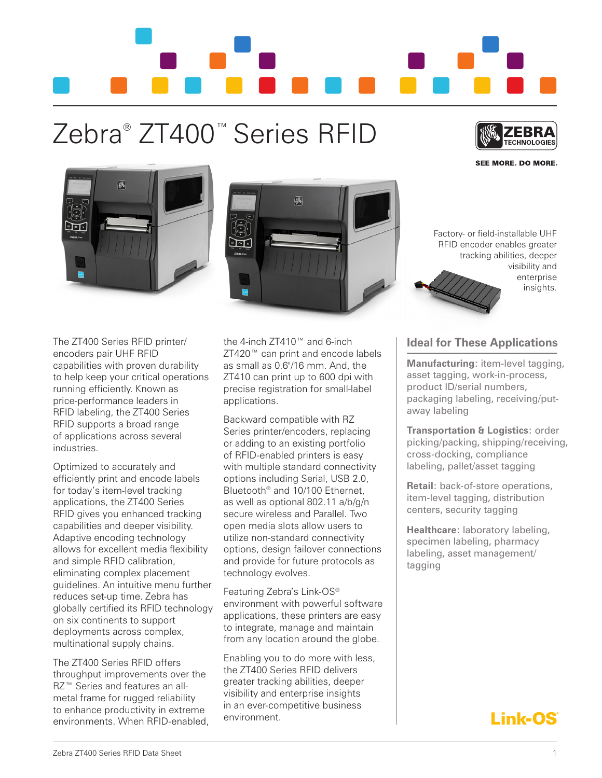

## Zebra® ZT400™ Series RFID



**SEE MORE, DO MORE.** 





Factory- or field-installable UHF RFID encoder enables greater tracking abilities, deeper visibility and enterprise insights.

The ZT400 Series RFID printer/ encoders pair UHF RFID capabilities with proven durability to help keep your critical operations running efficiently. Known as price-performance leaders in RFID labeling, the ZT400 Series RFID supports a broad range of applications across several industries.

Optimized to accurately and efficiently print and encode labels for today's item-level tracking applications, the ZT400 Series RFID gives you enhanced tracking capabilities and deeper visibility. Adaptive encoding technology allows for excellent media flexibility and simple RFID calibration, eliminating complex placement guidelines. An intuitive menu further reduces set-up time. Zebra has globally certified its RFID technology on six continents to support deployments across complex, multinational supply chains.

The ZT400 Series RFID offers throughput improvements over the RZ<sup>™</sup> Series and features an allmetal frame for rugged reliability to enhance productivity in extreme environments. When RFID-enabled, the 4-inch ZT410™ and 6-inch ZT420™ can print and encode labels as small as 0.6"/16 mm. And, the ZT410 can print up to 600 dpi with precise registration for small-label applications.

Backward compatible with RZ Series printer/encoders, replacing or adding to an existing portfolio of RFID-enabled printers is easy with multiple standard connectivity options including Serial, USB 2.0, Bluetooth® and 10/100 Ethernet, as well as optional 802.11 a/b/g/n secure wireless and Parallel. Two open media slots allow users to utilize non-standard connectivity options, design failover connections and provide for future protocols as technology evolves.

Featuring Zebra's Link-OS® environment with powerful software applications, these printers are easy to integrate, manage and maintain from any location around the globe.

Enabling you to do more with less, the ZT400 Series RFID delivers greater tracking abilities, deeper visibility and enterprise insights in an ever-competitive business environment.

## **Ideal for These Applications**

**Manufacturing**: item-level tagging, asset tagging, work-in-process, product ID/serial numbers, packaging labeling, receiving/putaway labeling

**Transportation & Logistics**: order picking/packing, shipping/receiving, cross-docking, compliance labeling, pallet/asset tagging

**Retail**: back-of-store operations, item-level tagging, distribution centers, security tagging

**Healthcare**: laboratory labeling, specimen labeling, pharmacy labeling, asset management/ tagging

## **Link-OS**